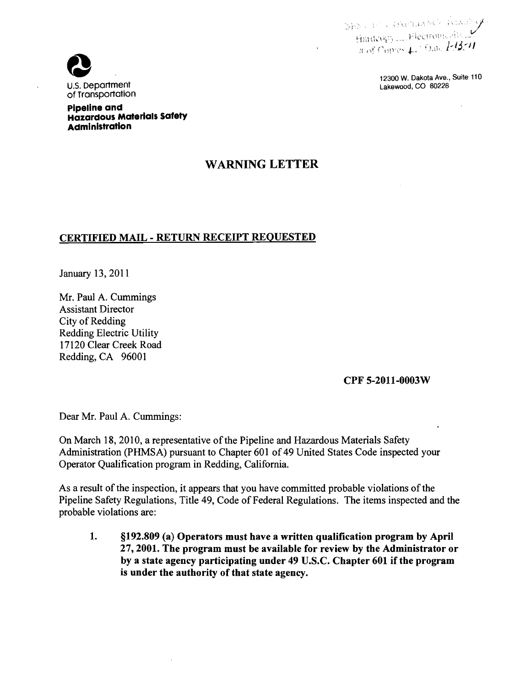SEN CONTRAMS Reading

12300 W. Dakota Ave., Suite 110



**Pipeline and Hazardous MaterialS Safety Administration** 

## WARNING LETTER

## CERTIFIED MAIL - RETURN RECEIPT REQUESTED

January 13,2011

Mr. Paul A. Cummings Assistant Director City of Redding Redding Electric Utility 17120 Clear Creek Road Redding, CA 96001

## CPF 5-2011-0003W

Dear Mr. Paul A. Cummings:

On March 18, 2010, a representative of the Pipeline and Hazardous Materials Safety Administration (PHMSA) pursuant to Chapter 601 of 49 United States Code inspected your Operator Qualification program in Redding, California.

As a result of the inspection, it appears that you have committed probable violations of the Pipeline Safety Regulations, Title 49, Code of Federal Regulations. The items inspected and the probable violations are:

1. §192.809 (a) Operators must have a written qualification program by April 27,2001. The program must be available for review by the Administrator or by a state agency participating under 49 U.S.c. Chapter 601 if the program is under the authority of that state agency.